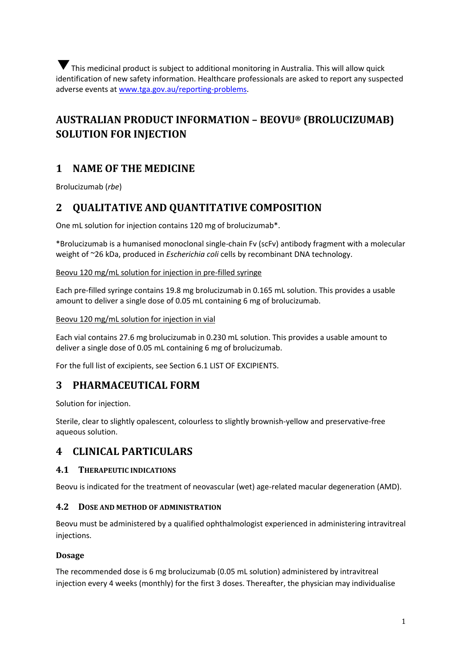This medicinal product is subject to additional monitoring in Australia. This will allow quick ▼identification of new safety information. Healthcare professionals are asked to report any suspected adverse events at [www.tga.gov.au/reporting-problems.](http://www.tga.gov.au/reporting-problems)

# **AUSTRALIAN PRODUCT INFORMATION – BEOVU® (BROLUCIZUMAB) SOLUTION FOR INJECTION**

# **1 NAME OF THE MEDICINE**

Brolucizumab (*rbe*)

## **2 QUALITATIVE AND QUANTITATIVE COMPOSITION**

One mL solution for injection contains 120 mg of brolucizumab\*.

\*Brolucizumab is a humanised monoclonal single-chain Fv (scFv) antibody fragment with a molecular weight of ~26 kDa, produced in *Escherichia coli* cells by recombinant DNA technology.

## Beovu 120 mg/mL solution for injection in pre-filled syringe

Each pre-filled syringe contains 19.8 mg brolucizumab in 0.165 mL solution. This provides a usable amount to deliver a single dose of 0.05 mL containing 6 mg of brolucizumab.

Beovu 120 mg/mL solution for injection in vial

Each vial contains 27.6 mg brolucizumab in 0.230 mL solution. This provides a usable amount to deliver a single dose of 0.05 mL containing 6 mg of brolucizumab.

For the full list of excipients, see Section 6.1 LIST OF EXCIPIENTS.

## **3 PHARMACEUTICAL FORM**

Solution for injection.

Sterile, clear to slightly opalescent, colourless to slightly brownish-yellow and preservative-free aqueous solution.

## **4 CLINICAL PARTICULARS**

### **4.1 THERAPEUTIC INDICATIONS**

Beovu is indicated for the treatment of neovascular (wet) age-related macular degeneration (AMD).

### **4.2 DOSE AND METHOD OF ADMINISTRATION**

Beovu must be administered by a qualified ophthalmologist experienced in administering intravitreal injections.

### **Dosage**

The recommended dose is 6 mg brolucizumab (0.05 mL solution) administered by intravitreal injection every 4 weeks (monthly) for the first 3 doses. Thereafter, the physician may individualise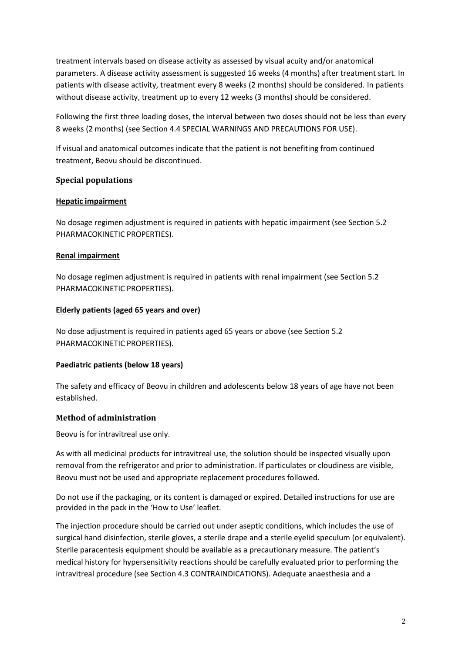treatment intervals based on disease activity as assessed by visual acuity and/or anatomical parameters. A disease activity assessment is suggested 16 weeks (4 months) after treatment start. In patients with disease activity, treatment every 8 weeks (2 months) should be considered. In patients without disease activity, treatment up to every 12 weeks (3 months) should be considered.

Following the first three loading doses, the interval between two doses should not be less than every 8 weeks (2 months) (see Section 4.4 SPECIAL WARNINGS AND PRECAUTIONS FOR USE).

If visual and anatomical outcomes indicate that the patient is not benefiting from continued treatment, Beovu should be discontinued.

### **Special populations**

#### **Hepatic impairment**

No dosage regimen adjustment is required in patients with hepatic impairment (see Section 5.2 PHARMACOKINETIC PROPERTIES).

#### **Renal impairment**

No dosage regimen adjustment is required in patients with renal impairment (see Section 5.2 PHARMACOKINETIC PROPERTIES).

#### **Elderly patients (aged 65 years and over)**

No dose adjustment is required in patients aged 65 years or above (see Section 5.2 PHARMACOKINETIC PROPERTIES).

### **Paediatric patients (below 18 years)**

The safety and efficacy of Beovu in children and adolescents below 18 years of age have not been established.

### **Method of administration**

Beovu is for intravitreal use only.

As with all medicinal products for intravitreal use, the solution should be inspected visually upon removal from the refrigerator and prior to administration. If particulates or cloudiness are visible, Beovu must not be used and appropriate replacement procedures followed.

Do not use if the packaging, or its content is damaged or expired. Detailed instructions for use are provided in the pack in the 'How to Use' leaflet.

The injection procedure should be carried out under aseptic conditions, which includes the use of surgical hand disinfection, sterile gloves, a sterile drape and a sterile eyelid speculum (or equivalent). Sterile paracentesis equipment should be available as a precautionary measure. The patient's medical history for hypersensitivity reactions should be carefully evaluated prior to performing the intravitreal procedure (see Section 4.3 CONTRAINDICATIONS). Adequate anaesthesia and a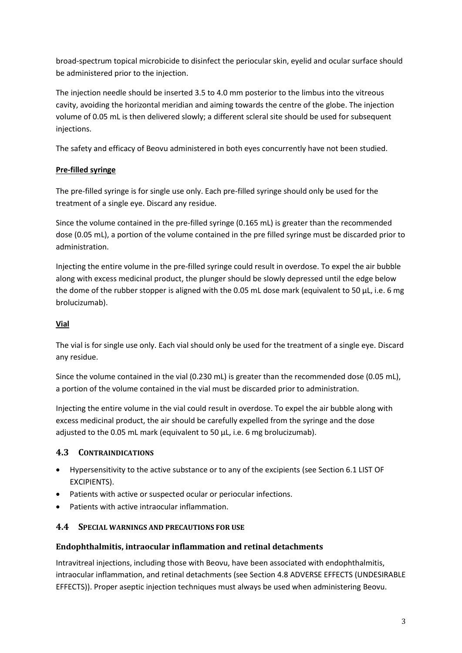broad-spectrum topical microbicide to disinfect the periocular skin, eyelid and ocular surface should be administered prior to the injection.

The injection needle should be inserted 3.5 to 4.0 mm posterior to the limbus into the vitreous cavity, avoiding the horizontal meridian and aiming towards the centre of the globe. The injection volume of 0.05 mL is then delivered slowly; a different scleral site should be used for subsequent injections.

The safety and efficacy of Beovu administered in both eyes concurrently have not been studied.

## **Pre-filled syringe**

The pre-filled syringe is for single use only. Each pre-filled syringe should only be used for the treatment of a single eye. Discard any residue.

Since the volume contained in the pre-filled syringe (0.165 mL) is greater than the recommended dose (0.05 mL), a portion of the volume contained in the pre filled syringe must be discarded prior to administration.

Injecting the entire volume in the pre-filled syringe could result in overdose. To expel the air bubble along with excess medicinal product, the plunger should be slowly depressed until the edge below the dome of the rubber stopper is aligned with the 0.05 mL dose mark (equivalent to 50 µL, i.e. 6 mg brolucizumab).

### **Vial**

The vial is for single use only. Each vial should only be used for the treatment of a single eye. Discard any residue.

Since the volume contained in the vial (0.230 mL) is greater than the recommended dose (0.05 mL), a portion of the volume contained in the vial must be discarded prior to administration.

Injecting the entire volume in the vial could result in overdose. To expel the air bubble along with excess medicinal product, the air should be carefully expelled from the syringe and the dose adjusted to the 0.05 mL mark (equivalent to 50 µL, i.e. 6 mg brolucizumab).

## **4.3 CONTRAINDICATIONS**

- Hypersensitivity to the active substance or to any of the excipients (see Section 6.1 LIST OF EXCIPIENTS).
- Patients with active or suspected ocular or periocular infections.
- Patients with active intraocular inflammation.

## **4.4 SPECIAL WARNINGS AND PRECAUTIONS FOR USE**

### **Endophthalmitis, intraocular inflammation and retinal detachments**

Intravitreal injections, including those with Beovu, have been associated with endophthalmitis, intraocular inflammation, and retinal detachments (see Section 4.8 ADVERSE EFFECTS (UNDESIRABLE EFFECTS)). Proper aseptic injection techniques must always be used when administering Beovu.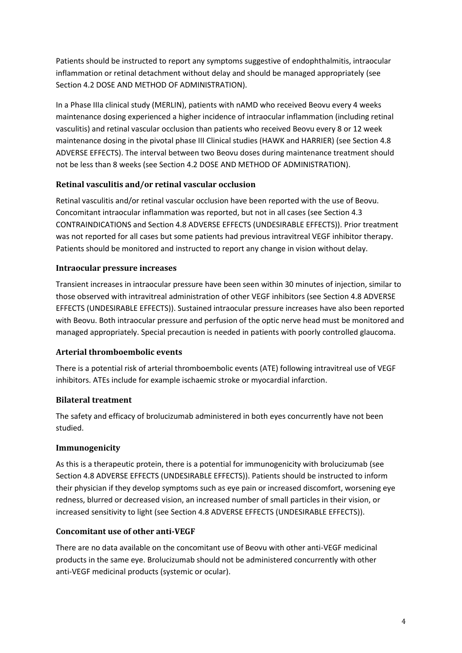Patients should be instructed to report any symptoms suggestive of endophthalmitis, intraocular inflammation or retinal detachment without delay and should be managed appropriately (see Section 4.2 DOSE AND METHOD OF ADMINISTRATION).

In a Phase IIIa clinical study (MERLIN), patients with nAMD who received Beovu every 4 weeks maintenance dosing experienced a higher incidence of intraocular inflammation (including retinal vasculitis) and retinal vascular occlusion than patients who received Beovu every 8 or 12 week maintenance dosing in the pivotal phase III Clinical studies (HAWK and HARRIER) (see Section 4.8 ADVERSE EFFECTS). The interval between two Beovu doses during maintenance treatment should not be less than 8 weeks (see Section 4.2 DOSE AND METHOD OF ADMINISTRATION).

## **Retinal vasculitis and/or retinal vascular occlusion**

Retinal vasculitis and/or retinal vascular occlusion have been reported with the use of Beovu. Concomitant intraocular inflammation was reported, but not in all cases (see Section 4.3 CONTRAINDICATIONS and Section 4.8 ADVERSE EFFECTS (UNDESIRABLE EFFECTS)). Prior treatment was not reported for all cases but some patients had previous intravitreal VEGF inhibitor therapy. Patients should be monitored and instructed to report any change in vision without delay.

## **Intraocular pressure increases**

Transient increases in intraocular pressure have been seen within 30 minutes of injection, similar to those observed with intravitreal administration of other VEGF inhibitors (see Section 4.8 ADVERSE EFFECTS (UNDESIRABLE EFFECTS)). Sustained intraocular pressure increases have also been reported with Beovu. Both intraocular pressure and perfusion of the optic nerve head must be monitored and managed appropriately. Special precaution is needed in patients with poorly controlled glaucoma.

### **Arterial thromboembolic events**

There is a potential risk of arterial thromboembolic events (ATE) following intravitreal use of VEGF inhibitors. ATEs include for example ischaemic stroke or myocardial infarction.

## **Bilateral treatment**

The safety and efficacy of brolucizumab administered in both eyes concurrently have not been studied.

### **Immunogenicity**

As this is a therapeutic protein, there is a potential for immunogenicity with brolucizumab (see Section 4.8 ADVERSE EFFECTS (UNDESIRABLE EFFECTS)). Patients should be instructed to inform their physician if they develop symptoms such as eye pain or increased discomfort, worsening eye redness, blurred or decreased vision, an increased number of small particles in their vision, or increased sensitivity to light (see Section 4.8 ADVERSE EFFECTS (UNDESIRABLE EFFECTS)).

## **Concomitant use of other anti-VEGF**

There are no data available on the concomitant use of Beovu with other anti-VEGF medicinal products in the same eye. Brolucizumab should not be administered concurrently with other anti-VEGF medicinal products (systemic or ocular).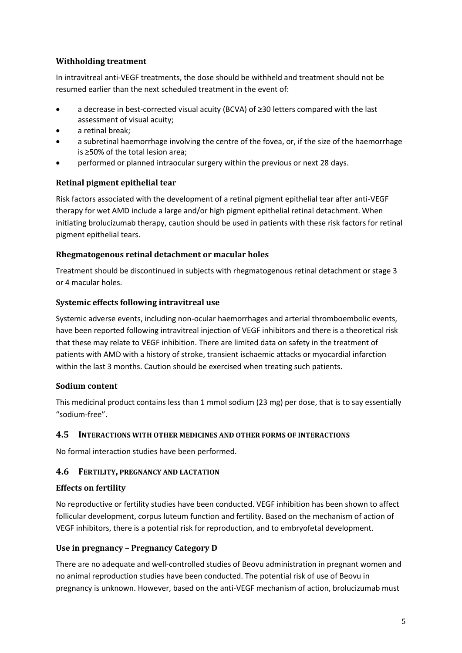## **Withholding treatment**

In intravitreal anti-VEGF treatments, the dose should be withheld and treatment should not be resumed earlier than the next scheduled treatment in the event of:

- a decrease in best-corrected visual acuity (BCVA) of ≥30 letters compared with the last assessment of visual acuity;
- a retinal break;
- a subretinal haemorrhage involving the centre of the fovea, or, if the size of the haemorrhage is ≥50% of the total lesion area;
- performed or planned intraocular surgery within the previous or next 28 days.

## **Retinal pigment epithelial tear**

Risk factors associated with the development of a retinal pigment epithelial tear after anti-VEGF therapy for wet AMD include a large and/or high pigment epithelial retinal detachment. When initiating brolucizumab therapy, caution should be used in patients with these risk factors for retinal pigment epithelial tears.

## **Rhegmatogenous retinal detachment or macular holes**

Treatment should be discontinued in subjects with rhegmatogenous retinal detachment or stage 3 or 4 macular holes.

## **Systemic effects following intravitreal use**

Systemic adverse events, including non-ocular haemorrhages and arterial thromboembolic events, have been reported following intravitreal injection of VEGF inhibitors and there is a theoretical risk that these may relate to VEGF inhibition. There are limited data on safety in the treatment of patients with AMD with a history of stroke, transient ischaemic attacks or myocardial infarction within the last 3 months. Caution should be exercised when treating such patients.

## **Sodium content**

This medicinal product contains less than 1 mmol sodium (23 mg) per dose, that is to say essentially "sodium-free".

### **4.5 INTERACTIONS WITH OTHER MEDICINES AND OTHER FORMS OF INTERACTIONS**

No formal interaction studies have been performed.

## **4.6 FERTILITY, PREGNANCY AND LACTATION**

### **Effects on fertility**

No reproductive or fertility studies have been conducted. VEGF inhibition has been shown to affect follicular development, corpus luteum function and fertility. Based on the mechanism of action of VEGF inhibitors, there is a potential risk for reproduction, and to embryofetal development.

### **Use in pregnancy – Pregnancy Category D**

There are no adequate and well-controlled studies of Beovu administration in pregnant women and no animal reproduction studies have been conducted. The potential risk of use of Beovu in pregnancy is unknown. However, based on the anti-VEGF mechanism of action, brolucizumab must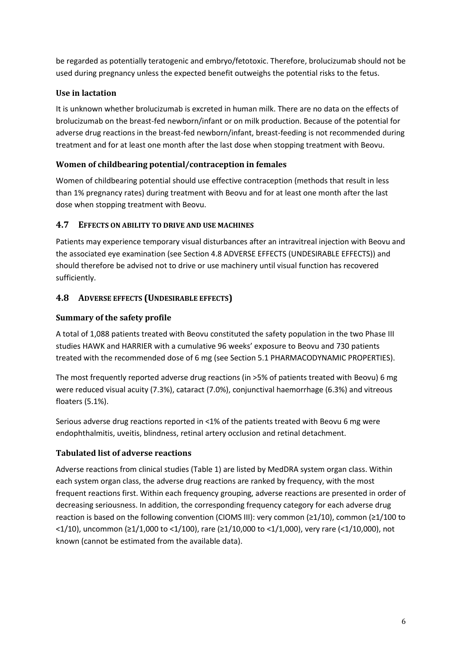be regarded as potentially teratogenic and embryo/fetotoxic. Therefore, brolucizumab should not be used during pregnancy unless the expected benefit outweighs the potential risks to the fetus.

## **Use in lactation**

It is unknown whether brolucizumab is excreted in human milk. There are no data on the effects of brolucizumab on the breast-fed newborn/infant or on milk production. Because of the potential for adverse drug reactions in the breast-fed newborn/infant, breast-feeding is not recommended during treatment and for at least one month after the last dose when stopping treatment with Beovu.

## **Women of childbearing potential/contraception in females**

Women of childbearing potential should use effective contraception (methods that result in less than 1% pregnancy rates) during treatment with Beovu and for at least one month after the last dose when stopping treatment with Beovu.

## **4.7 EFFECTS ON ABILITY TO DRIVE AND USE MACHINES**

Patients may experience temporary visual disturbances after an intravitreal injection with Beovu and the associated eye examination (see Section 4.8 ADVERSE EFFECTS (UNDESIRABLE EFFECTS)) and should therefore be advised not to drive or use machinery until visual function has recovered sufficiently.

## **4.8 ADVERSE EFFECTS (UNDESIRABLE EFFECTS)**

## **Summary of the safety profile**

A total of 1,088 patients treated with Beovu constituted the safety population in the two Phase III studies HAWK and HARRIER with a cumulative 96 weeks' exposure to Beovu and 730 patients treated with the recommended dose of 6 mg (see Section 5.1 PHARMACODYNAMIC PROPERTIES).

The most frequently reported adverse drug reactions (in >5% of patients treated with Beovu) 6 mg were reduced visual acuity (7.3%), cataract (7.0%), conjunctival haemorrhage (6.3%) and vitreous floaters (5.1%).

Serious adverse drug reactions reported in <1% of the patients treated with Beovu 6 mg were endophthalmitis, uveitis, blindness, retinal artery occlusion and retinal detachment.

### **Tabulated list of adverse reactions**

Adverse reactions from clinical studies (Table 1) are listed by MedDRA system organ class. Within each system organ class, the adverse drug reactions are ranked by frequency, with the most frequent reactions first. Within each frequency grouping, adverse reactions are presented in order of decreasing seriousness. In addition, the corresponding frequency category for each adverse drug reaction is based on the following convention (CIOMS III): very common (≥1/10), common (≥1/100 to <1/10), uncommon (≥1/1,000 to <1/100), rare (≥1/10,000 to <1/1,000), very rare (<1/10,000), not known (cannot be estimated from the available data).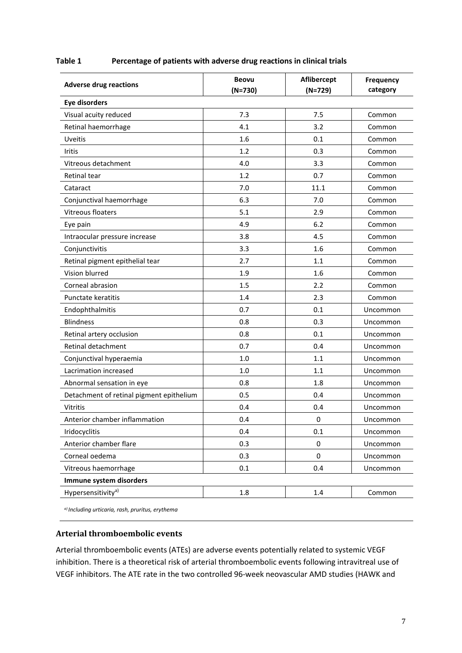| Table 1 |  | Percentage of patients with adverse drug reactions in clinical trials |  |
|---------|--|-----------------------------------------------------------------------|--|
|---------|--|-----------------------------------------------------------------------|--|

| <b>Adverse drug reactions</b>            | <b>Beovu</b><br>$(N=730)$ | Aflibercept<br>$(N=729)$ | <b>Frequency</b><br>category |  |
|------------------------------------------|---------------------------|--------------------------|------------------------------|--|
| <b>Eye disorders</b>                     |                           |                          |                              |  |
| Visual acuity reduced                    | 7.3                       | 7.5                      | Common                       |  |
| Retinal haemorrhage                      | 4.1                       | 3.2                      | Common                       |  |
| <b>Uveitis</b>                           | 1.6                       | 0.1                      | Common                       |  |
| Iritis                                   | 1.2                       | 0.3                      | Common                       |  |
| Vitreous detachment                      | 4.0                       | 3.3                      | Common                       |  |
| Retinal tear                             | 1.2                       | 0.7                      | Common                       |  |
| Cataract                                 | 7.0                       | 11.1                     | Common                       |  |
| Conjunctival haemorrhage                 | 6.3                       | 7.0                      | Common                       |  |
| Vitreous floaters                        | 5.1                       | 2.9                      | Common                       |  |
| Eye pain                                 | 4.9                       | 6.2                      | Common                       |  |
| Intraocular pressure increase            | 3.8                       | 4.5                      | Common                       |  |
| Conjunctivitis                           | 3.3                       | 1.6                      | Common                       |  |
| Retinal pigment epithelial tear          | 2.7                       | 1.1                      | Common                       |  |
| Vision blurred                           | 1.9                       | 1.6                      | Common                       |  |
| Corneal abrasion                         | 1.5                       | 2.2                      | Common                       |  |
| Punctate keratitis                       | 1.4                       | 2.3                      | Common                       |  |
| Endophthalmitis                          | 0.7                       | 0.1                      | Uncommon                     |  |
| <b>Blindness</b>                         | 0.8                       | 0.3                      | Uncommon                     |  |
| Retinal artery occlusion                 | 0.8                       | 0.1                      | Uncommon                     |  |
| Retinal detachment                       | 0.7                       | 0.4                      | Uncommon                     |  |
| Conjunctival hyperaemia                  | 1.0                       | 1.1                      | Uncommon                     |  |
| Lacrimation increased                    | 1.0                       | 1.1                      | Uncommon                     |  |
| Abnormal sensation in eye                | 0.8                       | 1.8                      | Uncommon                     |  |
| Detachment of retinal pigment epithelium | 0.5                       | 0.4                      | Uncommon                     |  |
| <b>Vitritis</b>                          | 0.4                       | 0.4                      | Uncommon                     |  |
| Anterior chamber inflammation            | 0.4                       | $\pmb{0}$                | Uncommon                     |  |
| Iridocyclitis                            | 0.4                       | 0.1                      | Uncommon                     |  |
| Anterior chamber flare                   | 0.3                       | $\mathbf 0$              | Uncommon                     |  |
| Corneal oedema                           | 0.3                       | 0                        | Uncommon                     |  |
| Vitreous haemorrhage                     | 0.1                       | 0.4                      | Uncommon                     |  |
| Immune system disorders                  |                           |                          |                              |  |
| Hypersensitivity <sup>a)</sup>           | 1.8                       | $1.4\,$                  | Common                       |  |

*a) Including urticaria, rash, pruritus, erythema*

#### **Arterial thromboembolic events**

Arterial thromboembolic events (ATEs) are adverse events potentially related to systemic VEGF inhibition. There is a theoretical risk of arterial thromboembolic events following intravitreal use of VEGF inhibitors. The ATE rate in the two controlled 96-week neovascular AMD studies (HAWK and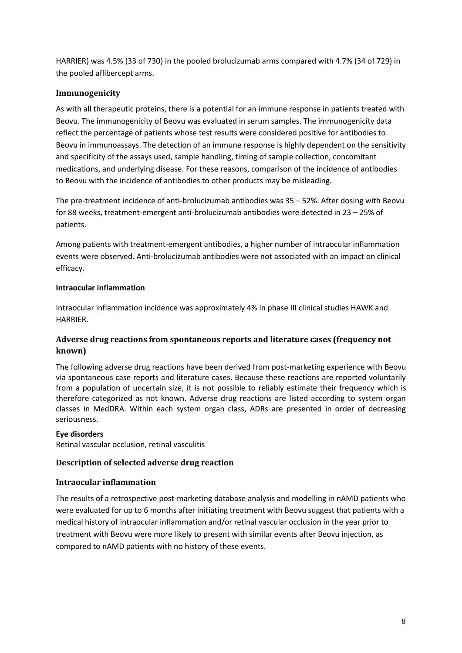HARRIER) was 4.5% (33 of 730) in the pooled brolucizumab arms compared with 4.7% (34 of 729) in the pooled aflibercept arms.

### **Immunogenicity**

As with all therapeutic proteins, there is a potential for an immune response in patients treated with Beovu. The immunogenicity of Beovu was evaluated in serum samples. The immunogenicity data reflect the percentage of patients whose test results were considered positive for antibodies to Beovu in immunoassays. The detection of an immune response is highly dependent on the sensitivity and specificity of the assays used, sample handling, timing of sample collection, concomitant medications, and underlying disease. For these reasons, comparison of the incidence of antibodies to Beovu with the incidence of antibodies to other products may be misleading.

The pre-treatment incidence of anti-brolucizumab antibodies was 35 – 52%. After dosing with Beovu for 88 weeks, treatment-emergent anti-brolucizumab antibodies were detected in 23 – 25% of patients.

Among patients with treatment-emergent antibodies, a higher number of intraocular inflammation events were observed. Anti-brolucizumab antibodies were not associated with an impact on clinical efficacy.

### **Intraocular inflammation**

Intraocular inflammation incidence was approximately 4% in phase III clinical studies HAWK and HARRIER.

## **Adverse drug reactions from spontaneous reports and literature cases (frequency not known)**

The following adverse drug reactions have been derived from post-marketing experience with Beovu via spontaneous case reports and literature cases. Because these reactions are reported voluntarily from a population of uncertain size, it is not possible to reliably estimate their frequency which is therefore categorized as not known. Adverse drug reactions are listed according to system organ classes in MedDRA. Within each system organ class, ADRs are presented in order of decreasing seriousness.

### **Eye disorders**

Retinal vascular occlusion, retinal vasculitis

### **Description of selected adverse drug reaction**

### **Intraocular inflammation**

The results of a retrospective post-marketing database analysis and modelling in nAMD patients who were evaluated for up to 6 months after initiating treatment with Beovu suggest that patients with a medical history of intraocular inflammation and/or retinal vascular occlusion in the year prior to treatment with Beovu were more likely to present with similar events after Beovu injection, as compared to nAMD patients with no history of these events.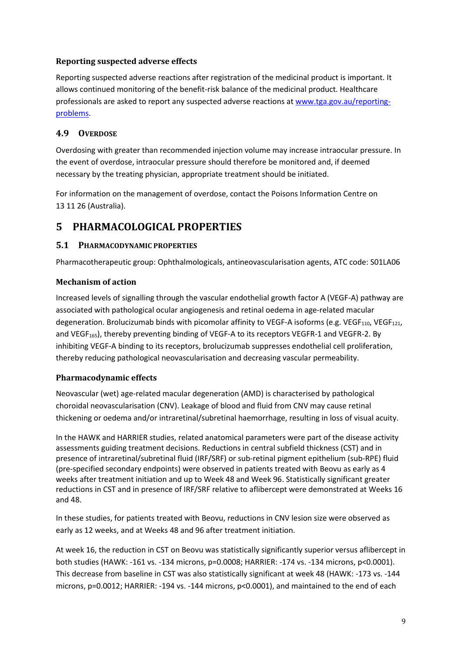## **Reporting suspected adverse effects**

Reporting suspected adverse reactions after registration of the medicinal product is important. It allows continued monitoring of the benefit-risk balance of the medicinal product. Healthcare professionals are asked to report any suspected adverse reactions at [www.tga.gov.au/reporting](http://www.tga.gov.au/reporting-problems)[problems.](http://www.tga.gov.au/reporting-problems)

## **4.9 OVERDOSE**

Overdosing with greater than recommended injection volume may increase intraocular pressure. In the event of overdose, intraocular pressure should therefore be monitored and, if deemed necessary by the treating physician, appropriate treatment should be initiated.

For information on the management of overdose, contact the Poisons Information Centre on 13 11 26 (Australia).

## **5 PHARMACOLOGICAL PROPERTIES**

## **5.1 PHARMACODYNAMIC PROPERTIES**

Pharmacotherapeutic group: Ophthalmologicals, antineovascularisation agents, ATC code: S01LA06

## **Mechanism of action**

Increased levels of signalling through the vascular endothelial growth factor A (VEGF-A) pathway are associated with pathological ocular angiogenesis and retinal oedema in age-related macular degeneration. Brolucizumab binds with picomolar affinity to VEGF-A isoforms (e.g. VEGF<sub>110</sub>, VEGF<sub>121</sub>, and VEGF<sub>165</sub>), thereby preventing binding of VEGF-A to its receptors VEGFR-1 and VEGFR-2. By inhibiting VEGF-A binding to its receptors, brolucizumab suppresses endothelial cell proliferation, thereby reducing pathological neovascularisation and decreasing vascular permeability.

## **Pharmacodynamic effects**

Neovascular (wet) age-related macular degeneration (AMD) is characterised by pathological choroidal neovascularisation (CNV). Leakage of blood and fluid from CNV may cause retinal thickening or oedema and/or intraretinal/subretinal haemorrhage, resulting in loss of visual acuity.

In the HAWK and HARRIER studies, related anatomical parameters were part of the disease activity assessments guiding treatment decisions. Reductions in central subfield thickness (CST) and in presence of intraretinal/subretinal fluid (IRF/SRF) or sub-retinal pigment epithelium (sub-RPE) fluid (pre-specified secondary endpoints) were observed in patients treated with Beovu as early as 4 weeks after treatment initiation and up to Week 48 and Week 96. Statistically significant greater reductions in CST and in presence of IRF/SRF relative to aflibercept were demonstrated at Weeks 16 and 48.

In these studies, for patients treated with Beovu, reductions in CNV lesion size were observed as early as 12 weeks, and at Weeks 48 and 96 after treatment initiation.

At week 16, the reduction in CST on Beovu was statistically significantly superior versus aflibercept in both studies (HAWK: -161 vs. -134 microns, p=0.0008; HARRIER: -174 vs. -134 microns, p<0.0001). This decrease from baseline in CST was also statistically significant at week 48 (HAWK: -173 vs. -144 microns, p=0.0012; HARRIER: -194 vs. -144 microns, p<0.0001), and maintained to the end of each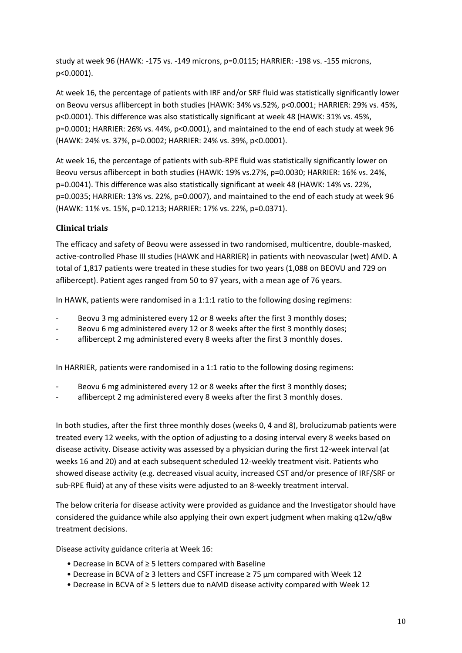study at week 96 (HAWK: -175 vs. -149 microns, p=0.0115; HARRIER: -198 vs. -155 microns, p<0.0001).

At week 16, the percentage of patients with IRF and/or SRF fluid was statistically significantly lower on Beovu versus aflibercept in both studies (HAWK: 34% vs.52%, p<0.0001; HARRIER: 29% vs. 45%, p<0.0001). This difference was also statistically significant at week 48 (HAWK: 31% vs. 45%, p=0.0001; HARRIER: 26% vs. 44%, p<0.0001), and maintained to the end of each study at week 96 (HAWK: 24% vs. 37%, p=0.0002; HARRIER: 24% vs. 39%, p<0.0001).

At week 16, the percentage of patients with sub-RPE fluid was statistically significantly lower on Beovu versus aflibercept in both studies (HAWK: 19% vs.27%, p=0.0030; HARRIER: 16% vs. 24%, p=0.0041). This difference was also statistically significant at week 48 (HAWK: 14% vs. 22%, p=0.0035; HARRIER: 13% vs. 22%, p=0.0007), and maintained to the end of each study at week 96 (HAWK: 11% vs. 15%, p=0.1213; HARRIER: 17% vs. 22%, p=0.0371).

## **Clinical trials**

The efficacy and safety of Beovu were assessed in two randomised, multicentre, double-masked, active-controlled Phase III studies (HAWK and HARRIER) in patients with neovascular (wet) AMD. A total of 1,817 patients were treated in these studies for two years (1,088 on BEOVU and 729 on aflibercept). Patient ages ranged from 50 to 97 years, with a mean age of 76 years.

In HAWK, patients were randomised in a 1:1:1 ratio to the following dosing regimens:

- Beovu 3 mg administered every 12 or 8 weeks after the first 3 monthly doses;
- Beovu 6 mg administered every 12 or 8 weeks after the first 3 monthly doses;
- aflibercept 2 mg administered every 8 weeks after the first 3 monthly doses.

In HARRIER, patients were randomised in a 1:1 ratio to the following dosing regimens:

- Beovu 6 mg administered every 12 or 8 weeks after the first 3 monthly doses;
- aflibercept 2 mg administered every 8 weeks after the first 3 monthly doses.

In both studies, after the first three monthly doses (weeks 0, 4 and 8), brolucizumab patients were treated every 12 weeks, with the option of adjusting to a dosing interval every 8 weeks based on disease activity. Disease activity was assessed by a physician during the first 12-week interval (at weeks 16 and 20) and at each subsequent scheduled 12-weekly treatment visit. Patients who showed disease activity (e.g. decreased visual acuity, increased CST and/or presence of IRF/SRF or sub-RPE fluid) at any of these visits were adjusted to an 8-weekly treatment interval.

The below criteria for disease activity were provided as guidance and the Investigator should have considered the guidance while also applying their own expert judgment when making q12w/q8w treatment decisions.

Disease activity guidance criteria at Week 16:

- Decrease in BCVA of ≥ 5 letters compared with Baseline
- Decrease in BCVA of ≥ 3 letters and CSFT increase ≥ 75 μm compared with Week 12
- Decrease in BCVA of ≥ 5 letters due to nAMD disease activity compared with Week 12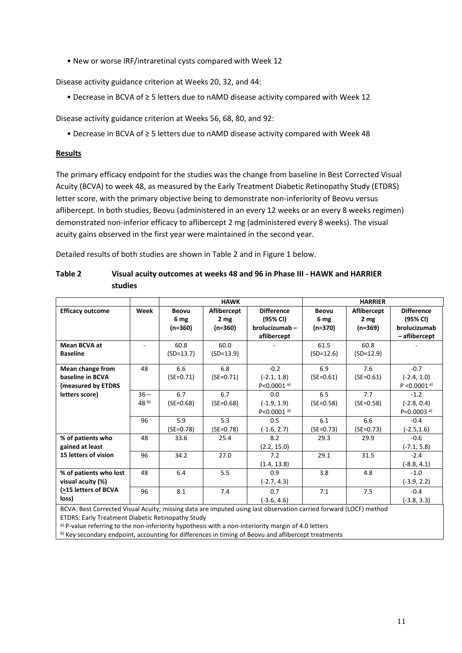• New or worse IRF/intraretinal cysts compared with Week 12

Disease activity guidance criterion at Weeks 20, 32, and 44:

• Decrease in BCVA of ≥ 5 letters due to nAMD disease activity compared with Week 12

Disease activity guidance criterion at Weeks 56, 68, 80, and 92:

• Decrease in BCVA of ≥ 5 letters due to nAMD disease activity compared with Week 48

#### **Results**

The primary efficacy endpoint for the studies was the change from baseline in Best Corrected Visual Acuity (BCVA) to week 48, as measured by the Early Treatment Diabetic Retinopathy Study (ETDRS) letter score, with the primary objective being to demonstrate non-inferiority of Beovu versus aflibercept. In both studies, Beovu (administered in an every 12 weeks or an every 8 weeks regimen) demonstrated non-inferior efficacy to aflibercept 2 mg (administered every 8 weeks). The visual acuity gains observed in the first year were maintained in the second year.

Detailed results of both studies are shown in Table 2 and in Figure 1 below.

|                                                                                                                   |                 |              | <b>HAWK</b>     |                            |              | <b>HARRIER</b>  |                            |
|-------------------------------------------------------------------------------------------------------------------|-----------------|--------------|-----------------|----------------------------|--------------|-----------------|----------------------------|
| <b>Efficacy outcome</b>                                                                                           | Week            | <b>Beovu</b> | Aflibercept     | <b>Difference</b>          | <b>Beovu</b> | Aflibercept     | <b>Difference</b>          |
|                                                                                                                   |                 | 6 mg         | 2 <sub>mg</sub> | (95% CI)                   | 6 mg         | 2 <sub>mg</sub> | (95% CI)                   |
|                                                                                                                   |                 | (n=360)      | (n=360)         | brolucizumab-              | (n=370)      | (n=369)         | brolucizumab               |
|                                                                                                                   |                 |              |                 | aflibercept                |              |                 | - aflibercept              |
| <b>Mean BCVA at</b>                                                                                               |                 | 60.8         | 60.0            |                            | 61.5         | 60.8            |                            |
| <b>Baseline</b>                                                                                                   |                 | $(SD=13.7)$  | $(SD=13.9)$     |                            | $(SD=12.6)$  | $(SD=12.9)$     |                            |
| Mean change from                                                                                                  | 48              | 6.6          | 6.8             | $-0.2$                     | 6.9          | 7.6             | $-0.7$                     |
| baseline in BCVA                                                                                                  |                 | $(SE=0.71)$  | $(SE=0.71)$     | $(-2.1, 1.8)$              | $(SE=0.61)$  | $(SE=0.61)$     | $(-2.4, 1.0)$              |
| (measured by ETDRS                                                                                                |                 |              |                 | $P < 0.0001$ <sup>a)</sup> |              |                 | $P < 0.0001$ <sup>a)</sup> |
| letters score)                                                                                                    | $36 -$          | 6.7          | 6.7             | 0.0                        | 6.5          | 7.7             | $-1.2$                     |
|                                                                                                                   | 48 <sup>b</sup> | $(SE=0.68)$  | $(SE=0.68)$     | $(-1.9, 1.9)$              | $(SE=0.58)$  | $(SE=0.58)$     | $(-2.8, 0.4)$              |
|                                                                                                                   |                 |              |                 | $P < 0.0001$ <sup>a)</sup> |              |                 | $P=0.0003$ <sup>a)</sup>   |
|                                                                                                                   | 96              | 5.9          | 5.3             | 0.5                        | 6.1          | 6.6             | $-0.4$                     |
|                                                                                                                   |                 | $(SE=0.78)$  | $(SE=0.78)$     | $(-1.6, 2.7)$              | $(SE=0.73)$  | $(SE=0.73)$     | $(-2.5, 1.6)$              |
| % of patients who                                                                                                 | 48              | 33.6         | 25.4            | 8.2                        | 29.3         | 29.9            | $-0.6$                     |
| gained at least                                                                                                   |                 |              |                 | (2.2, 15.0)                |              |                 | $(-7.1, 5.8)$              |
| 15 letters of vision                                                                                              | 96              | 34.2         | 27.0            | 7.2                        | 29.1         | 31.5            | $-2.4$                     |
|                                                                                                                   |                 |              |                 | (1.4, 13.8)                |              |                 | $(-8.8, 4.1)$              |
| % of patients who lost                                                                                            | 48              | 6.4          | 5.5             | 0.9                        | 3.8          | 4.8             | $-1.0$                     |
| visual acuity (%)                                                                                                 |                 |              |                 | $(-2.7, 4.3)$              |              |                 | $(-3.9, 2.2)$              |
| (>15 letters of BCVA                                                                                              | 96              | 8.1          | 7.4             | 0.7                        | 7.1          | 7.5             | $-0.4$                     |
| loss)                                                                                                             |                 |              |                 | $(-3.6, 4.6)$              |              |                 | (-3.8, 3.3)                |
| BCVA: Best Corrected Visual Acuity; missing data are imputed using last observation carried forward (LOCF) method |                 |              |                 |                            |              |                 |                            |

| Table 2 | Visual acuity outcomes at weeks 48 and 96 in Phase III - HAWK and HARRIER |
|---------|---------------------------------------------------------------------------|
|         | studies                                                                   |

ETDRS: Early Treatment Diabetic Retinopathy Study

a) P-value referring to the non-inferiority hypothesis with a non-interiority margin of 4.0 letters

b) Key secondary endpoint, accounting for differences in timing of Beovu and aflibercept treatments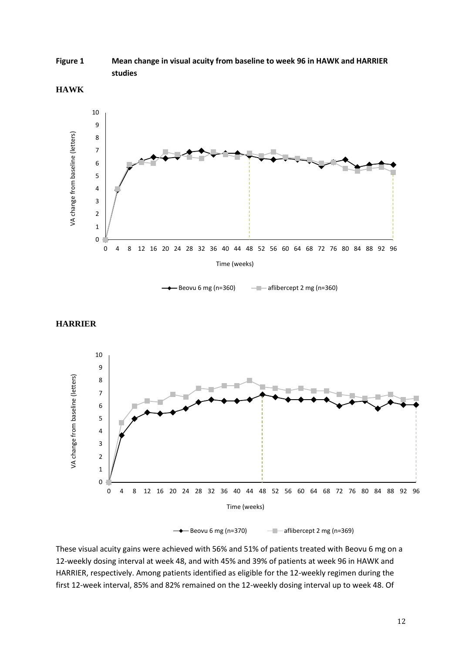**Figure 1 Mean change in visual acuity from baseline to week 96 in HAWK and HARRIER studies**





 $\leftarrow$  Beovu 6 mg (n=360)  $\leftarrow$  aflibercept 2 mg (n=360)





 $\rightarrow$  Beovu 6 mg (n=370)  $\rightarrow$  aflibercept 2 mg (n=369)

These visual acuity gains were achieved with 56% and 51% of patients treated with Beovu 6 mg on a 12-weekly dosing interval at week 48, and with 45% and 39% of patients at week 96 in HAWK and HARRIER, respectively. Among patients identified as eligible for the 12-weekly regimen during the first 12-week interval, 85% and 82% remained on the 12-weekly dosing interval up to week 48. Of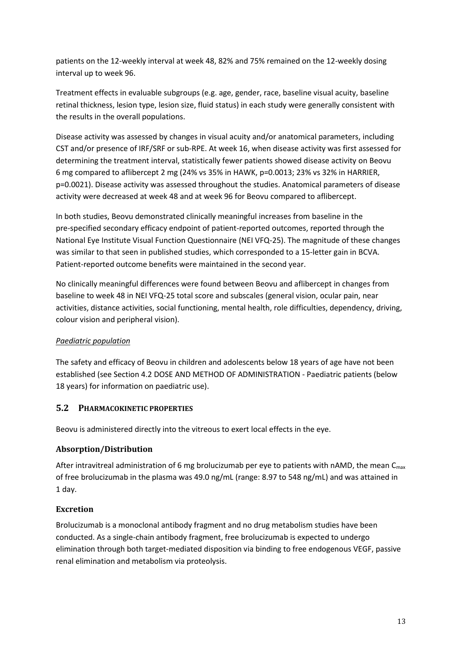patients on the 12-weekly interval at week 48, 82% and 75% remained on the 12-weekly dosing interval up to week 96.

Treatment effects in evaluable subgroups (e.g. age, gender, race, baseline visual acuity, baseline retinal thickness, lesion type, lesion size, fluid status) in each study were generally consistent with the results in the overall populations.

Disease activity was assessed by changes in visual acuity and/or anatomical parameters, including CST and/or presence of IRF/SRF or sub-RPE. At week 16, when disease activity was first assessed for determining the treatment interval, statistically fewer patients showed disease activity on Beovu 6 mg compared to aflibercept 2 mg (24% vs 35% in HAWK, p=0.0013; 23% vs 32% in HARRIER, p=0.0021). Disease activity was assessed throughout the studies. Anatomical parameters of disease activity were decreased at week 48 and at week 96 for Beovu compared to aflibercept.

In both studies, Beovu demonstrated clinically meaningful increases from baseline in the pre-specified secondary efficacy endpoint of patient-reported outcomes, reported through the National Eye Institute Visual Function Questionnaire (NEI VFQ-25). The magnitude of these changes was similar to that seen in published studies, which corresponded to a 15-letter gain in BCVA. Patient-reported outcome benefits were maintained in the second year.

No clinically meaningful differences were found between Beovu and aflibercept in changes from baseline to week 48 in NEI VFQ-25 total score and subscales (general vision, ocular pain, near activities, distance activities, social functioning, mental health, role difficulties, dependency, driving, colour vision and peripheral vision).

## *Paediatric population*

The safety and efficacy of Beovu in children and adolescents below 18 years of age have not been established (see Section 4.2 DOSE AND METHOD OF ADMINISTRATION - Paediatric patients (below 18 years) for information on paediatric use).

## **5.2 PHARMACOKINETIC PROPERTIES**

Beovu is administered directly into the vitreous to exert local effects in the eye.

## **Absorption/Distribution**

After intravitreal administration of 6 mg brolucizumab per eye to patients with nAMD, the mean  $C_{\text{max}}$ of free brolucizumab in the plasma was 49.0 ng/mL (range: 8.97 to 548 ng/mL) and was attained in 1 day.

## **Excretion**

Brolucizumab is a monoclonal antibody fragment and no drug metabolism studies have been conducted. As a single-chain antibody fragment, free brolucizumab is expected to undergo elimination through both target-mediated disposition via binding to free endogenous VEGF, passive renal elimination and metabolism via proteolysis.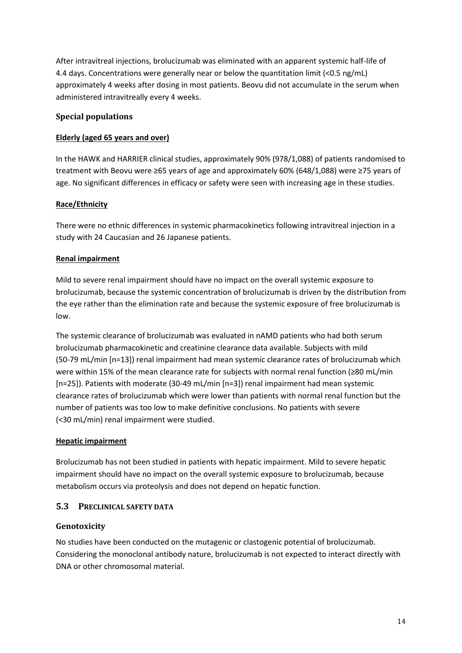After intravitreal injections, brolucizumab was eliminated with an apparent systemic half-life of 4.4 days. Concentrations were generally near or below the quantitation limit (<0.5 ng/mL) approximately 4 weeks after dosing in most patients. Beovu did not accumulate in the serum when administered intravitreally every 4 weeks.

## **Special populations**

### **Elderly (aged 65 years and over)**

In the HAWK and HARRIER clinical studies, approximately 90% (978/1,088) of patients randomised to treatment with Beovu were ≥65 years of age and approximately 60% (648/1,088) were ≥75 years of age. No significant differences in efficacy or safety were seen with increasing age in these studies.

### **Race/Ethnicity**

There were no ethnic differences in systemic pharmacokinetics following intravitreal injection in a study with 24 Caucasian and 26 Japanese patients.

### **Renal impairment**

Mild to severe renal impairment should have no impact on the overall systemic exposure to brolucizumab, because the systemic concentration of brolucizumab is driven by the distribution from the eye rather than the elimination rate and because the systemic exposure of free brolucizumab is low.

The systemic clearance of brolucizumab was evaluated in nAMD patients who had both serum brolucizumab pharmacokinetic and creatinine clearance data available. Subjects with mild (50-79 mL/min [n=13]) renal impairment had mean systemic clearance rates of brolucizumab which were within 15% of the mean clearance rate for subjects with normal renal function (≥80 mL/min [n=25]). Patients with moderate (30-49 mL/min [n=3]) renal impairment had mean systemic clearance rates of brolucizumab which were lower than patients with normal renal function but the number of patients was too low to make definitive conclusions. No patients with severe (<30 mL/min) renal impairment were studied.

### **Hepatic impairment**

Brolucizumab has not been studied in patients with hepatic impairment. Mild to severe hepatic impairment should have no impact on the overall systemic exposure to brolucizumab, because metabolism occurs via proteolysis and does not depend on hepatic function.

### **5.3 PRECLINICAL SAFETY DATA**

### **Genotoxicity**

No studies have been conducted on the mutagenic or clastogenic potential of brolucizumab. Considering the monoclonal antibody nature, brolucizumab is not expected to interact directly with DNA or other chromosomal material.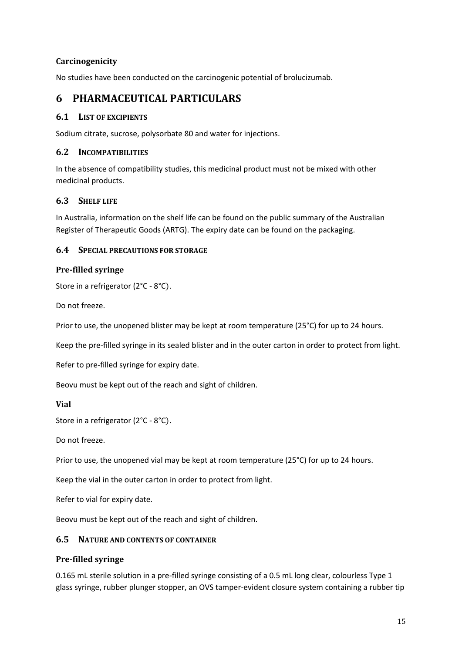## **Carcinogenicity**

No studies have been conducted on the carcinogenic potential of brolucizumab.

## **6 PHARMACEUTICAL PARTICULARS**

### **6.1 LIST OF EXCIPIENTS**

Sodium citrate, sucrose, polysorbate 80 and water for injections.

### **6.2 INCOMPATIBILITIES**

In the absence of compatibility studies, this medicinal product must not be mixed with other medicinal products.

### **6.3 SHELF LIFE**

In Australia, information on the shelf life can be found on the public summary of the Australian Register of Therapeutic Goods (ARTG). The expiry date can be found on the packaging.

### **6.4 SPECIAL PRECAUTIONS FOR STORAGE**

### **Pre-filled syringe**

```
Store in a refrigerator (2°C - 8°C).
```
Do not freeze.

Prior to use, the unopened blister may be kept at room temperature (25°C) for up to 24 hours.

Keep the pre-filled syringe in its sealed blister and in the outer carton in order to protect from light.

Refer to pre-filled syringe for expiry date.

Beovu must be kept out of the reach and sight of children.

#### **Vial**

Store in a refrigerator (2°C - 8°C).

Do not freeze.

Prior to use, the unopened vial may be kept at room temperature (25°C) for up to 24 hours.

Keep the vial in the outer carton in order to protect from light.

Refer to vial for expiry date.

Beovu must be kept out of the reach and sight of children.

### **6.5 NATURE AND CONTENTS OF CONTAINER**

### **Pre-filled syringe**

0.165 mL sterile solution in a pre-filled syringe consisting of a 0.5 mL long clear, colourless Type 1 glass syringe, rubber plunger stopper, an OVS tamper-evident closure system containing a rubber tip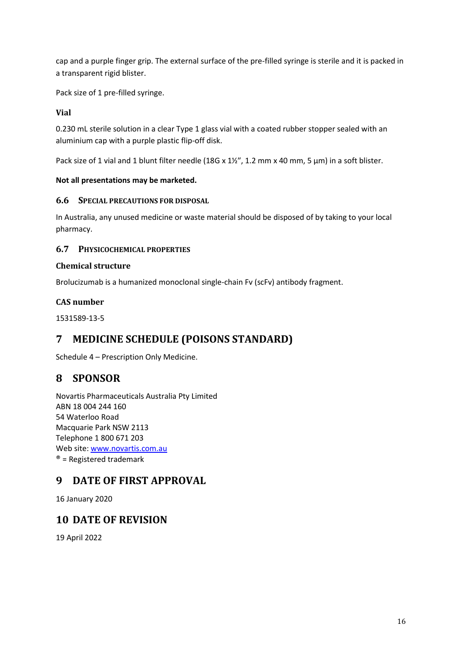cap and a purple finger grip. The external surface of the pre-filled syringe is sterile and it is packed in a transparent rigid blister.

Pack size of 1 pre-filled syringe.

## **Vial**

0.230 mL sterile solution in a clear Type 1 glass vial with a coated rubber stopper sealed with an aluminium cap with a purple plastic flip-off disk.

Pack size of 1 vial and 1 blunt filter needle (18G x 1½″, 1.2 mm x 40 mm, 5 μm) in a soft blister.

### **Not all presentations may be marketed.**

### **6.6 SPECIAL PRECAUTIONS FOR DISPOSAL**

In Australia, any unused medicine or waste material should be disposed of by taking to your local pharmacy.

## **6.7 PHYSICOCHEMICAL PROPERTIES**

### **Chemical structure**

Brolucizumab is a humanized monoclonal single-chain Fv (scFv) antibody fragment.

## **CAS number**

1531589-13-5

## **7 MEDICINE SCHEDULE (POISONS STANDARD)**

Schedule 4 – Prescription Only Medicine.

## **8 SPONSOR**

Novartis Pharmaceuticals Australia Pty Limited ABN 18 004 244 160 54 Waterloo Road Macquarie Park NSW 2113 Telephone 1 800 671 203 Web site: [www.novartis.com.au](http://www.novartis.com.au/)  $<sup>®</sup>$  = Registered trademark</sup>

# **9 DATE OF FIRST APPROVAL**

16 January 2020

## **10 DATE OF REVISION**

19 April 2022